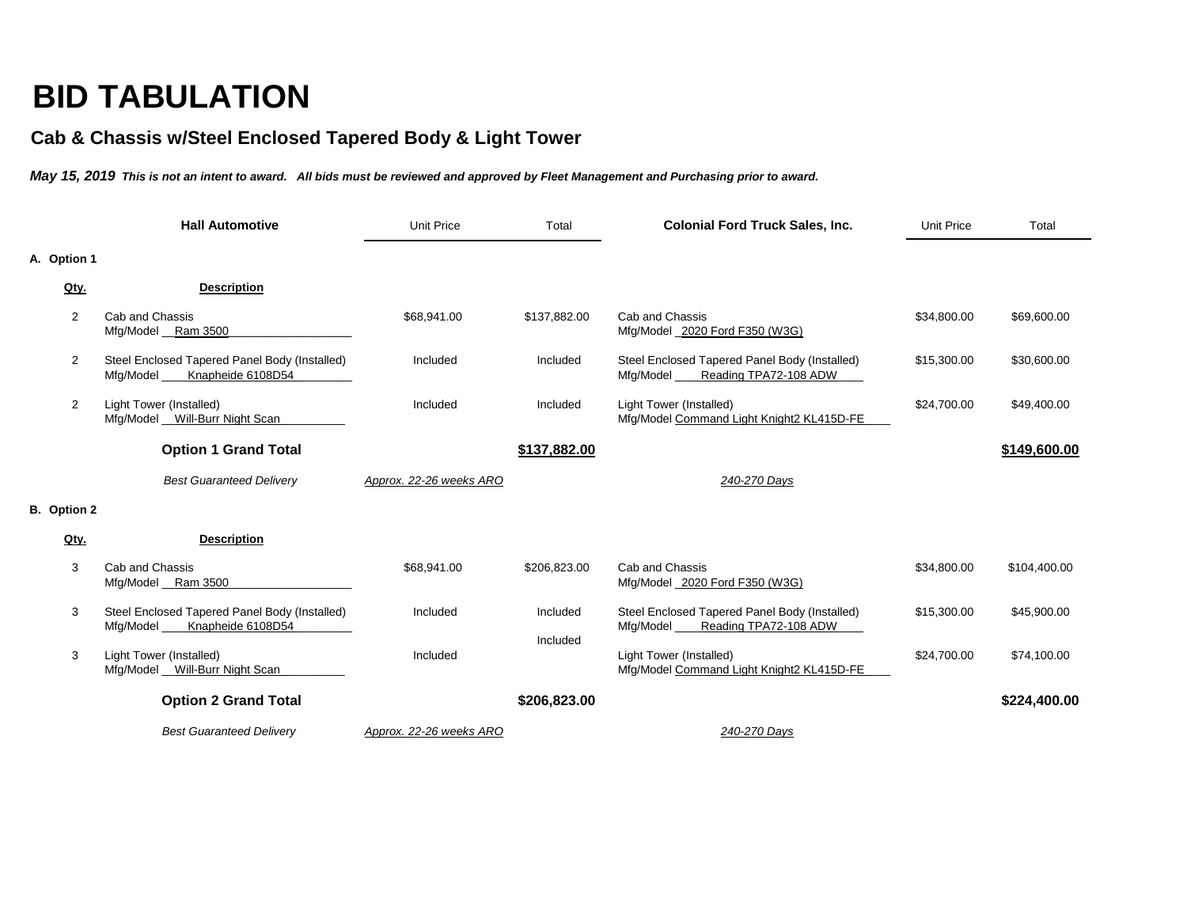## **BID TABULATION**

## **Cab & Chassis w/Steel Enclosed Tapered Body & Light Tower**

*May 15, 2019 This is not an intent to award. All bids must be reviewed and approved by Fleet Management and Purchasing prior to award.*

|                    |                | <b>Hall Automotive</b>                                                            | <b>Unit Price</b>       | Total                | <b>Colonial Ford Truck Sales, Inc.</b>                                              | <b>Unit Price</b> | Total        |
|--------------------|----------------|-----------------------------------------------------------------------------------|-------------------------|----------------------|-------------------------------------------------------------------------------------|-------------------|--------------|
| A. Option 1        |                |                                                                                   |                         |                      |                                                                                     |                   |              |
|                    | Qty.           | <b>Description</b>                                                                |                         |                      |                                                                                     |                   |              |
|                    | $\overline{2}$ | Cab and Chassis<br>Mfg/Model __Ram 3500                                           | \$68,941.00             | \$137,882.00         | Cab and Chassis<br>Mfg/Model _2020 Ford F350 (W3G)                                  | \$34,800.00       | \$69,600.00  |
|                    | $\overline{2}$ | Steel Enclosed Tapered Panel Body (Installed)<br>Mfg/Model_<br>Knapheide 6108D54  | Included                | Included             | Steel Enclosed Tapered Panel Body (Installed)<br>Mfg/Model<br>Reading TPA72-108 ADW | \$15,300.00       | \$30,600.00  |
|                    | 2              | Light Tower (Installed)<br>Mfg/Model Will-Burr Night Scan                         | Included                | Included             | Light Tower (Installed)<br>Mfg/Model Command Light Knight2 KL415D-FE                | \$24,700.00       | \$49,400.00  |
|                    |                | <b>Option 1 Grand Total</b>                                                       |                         | \$137,882.00         |                                                                                     |                   | \$149,600.00 |
|                    |                | <b>Best Guaranteed Delivery</b>                                                   | Approx. 22-26 weeks ARO |                      | 240-270 Days                                                                        |                   |              |
| <b>B.</b> Option 2 |                |                                                                                   |                         |                      |                                                                                     |                   |              |
|                    | Qty.           | <b>Description</b>                                                                |                         |                      |                                                                                     |                   |              |
|                    | 3              | Cab and Chassis<br>Mfg/Model __Ram 3500                                           | \$68,941.00             | \$206,823.00         | Cab and Chassis<br>Mfg/Model _2020 Ford F350 (W3G)                                  | \$34,800.00       | \$104,400.00 |
|                    | 3              | Steel Enclosed Tapered Panel Body (Installed)<br>Mfg/Model _<br>Knapheide 6108D54 | Included                | Included<br>Included | Steel Enclosed Tapered Panel Body (Installed)<br>Reading TPA72-108 ADW<br>Mfg/Model | \$15,300.00       | \$45,900.00  |
|                    | 3              | <b>Light Tower (Installed)</b><br>Mfg/Model Will-Burr Night Scan                  | Included                |                      | Light Tower (Installed)<br>Mfg/Model Command Light Knight2 KL415D-FE                | \$24,700.00       | \$74,100.00  |
|                    |                | <b>Option 2 Grand Total</b>                                                       |                         | \$206,823.00         |                                                                                     |                   | \$224,400.00 |
|                    |                | <b>Best Guaranteed Delivery</b>                                                   | Approx. 22-26 weeks ARO |                      | 240-270 Days                                                                        |                   |              |